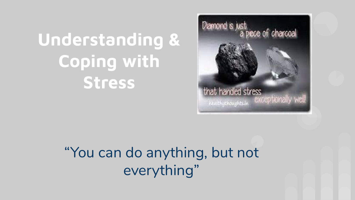# **Understanding & Coping with Stress**



"You can do anything, but not everything"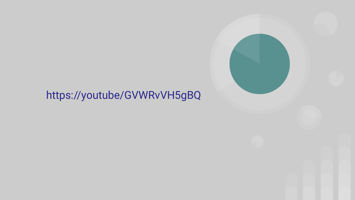### https://youtube/GVWRvVH5gBQ

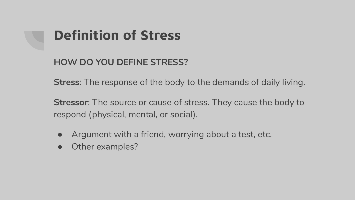## **Definition of Stress**

**HOW DO YOU DEFINE STRESS?**

**Stress**: The response of the body to the demands of daily living.

**Stressor**: The source or cause of stress. They cause the body to respond (physical, mental, or social).

- Argument with a friend, worrying about a test, etc.
- Other examples?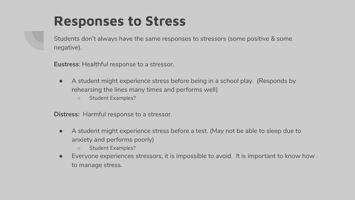### **Responses to Stress**

Students don't always have the same responses to stressors (some positive & some negative).

**Eustress**: Healthful response to a stressor.

- A student might experience stress before being in a school play. (Responds by rehearsing the lines many times and performs well)
	- Student Examples?

**Distress:** Harmful response to a stressor.

- A student might experience stress before a test. (May not be able to sleep due to anxiety and performs poorly)
	- Student Examples?
- Everyone experiences stressors, it is impossible to avoid. It is important to know how to manage stress.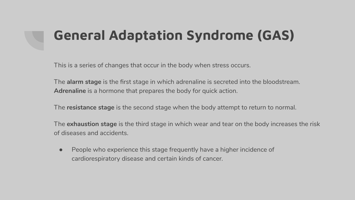## **General Adaptation Syndrome (GAS)**

This is a series of changes that occur in the body when stress occurs.

The **alarm stage** is the first stage in which adrenaline is secreted into the bloodstream. **Adrenaline** is a hormone that prepares the body for quick action.

The **resistance stage** is the second stage when the body attempt to return to normal.

The **exhaustion stage** is the third stage in which wear and tear on the body increases the risk of diseases and accidents.

● People who experience this stage frequently have a higher incidence of cardiorespiratory disease and certain kinds of cancer.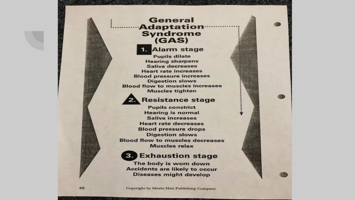### General **Adaptation** Syndrome<br>(GAS)

**Alarm stage**  $1.$ **Pupils dilate Hearing sharpens** Saliya decreases **Heart rate increases Blood pressure increases Digestion slows Blood flow to muscles increases Muscles tighten** 



#### **Resistance stage**

111111111111

**Pupils constrict Hearing is normal Saliva increases Heart rate decreases Blood pressure drops Digestion slows Blood flow to muscles decreases** Muscles relax



#### **3. Exhaustion stage**

The body is worn down **Accidents are likely to occur Diseases might develop**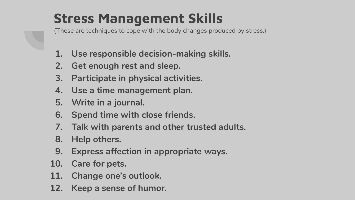## **Stress Management Skills**

(These are techniques to cope with the body changes produced by stress.)

- **1. Use responsible decision-making skills.**
- **2. Get enough rest and sleep.**
- **3. Participate in physical activities.**
- **4. Use a time management plan.**
- **5. Write in a journal.**
- **6. Spend time with close friends.**
- **7. Talk with parents and other trusted adults.**
- **8. Help others.**
- **9. Express affection in appropriate ways.**
- **10. Care for pets.**
- **11. Change one's outlook.**
- **12. Keep a sense of humor.**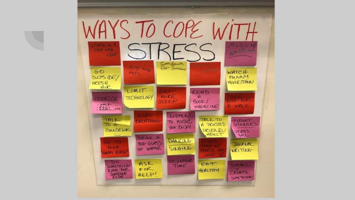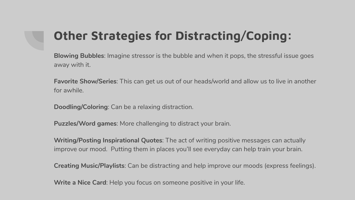### **Other Strategies for Distracting/Coping:**

**Blowing Bubbles**: Imagine stressor is the bubble and when it pops, the stressful issue goes away with it.

**Favorite Show/Series**: This can get us out of our heads/world and allow us to live in another for awhile.

**Doodling/Coloring**: Can be a relaxing distraction.

**Puzzles/Word games**: More challenging to distract your brain.

**Writing/Posting Inspirational Quotes**: The act of writing positive messages can actually improve our mood. Putting them in places you'll see everyday can help train your brain.

**Creating Music/Playlists**: Can be distracting and help improve our moods (express feelings).

**Write a Nice Card**: Help you focus on someone positive in your life.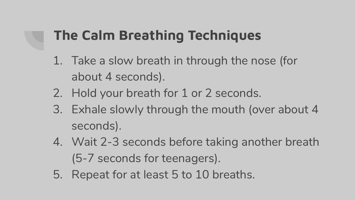## **The Calm Breathing Techniques**

- 1. Take a slow breath in through the nose (for about 4 seconds).
- 2. Hold your breath for 1 or 2 seconds.
- 3. Exhale slowly through the mouth (over about 4 seconds).
- 4. Wait 2-3 seconds before taking another breath (5-7 seconds for teenagers).
- 5. Repeat for at least 5 to 10 breaths.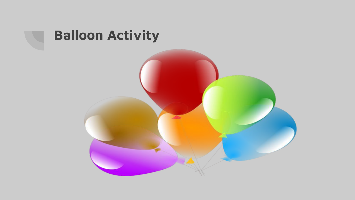

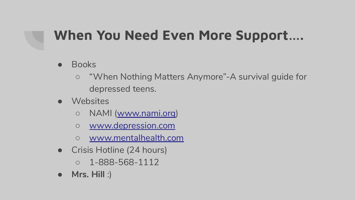## **When You Need Even More Support….**

### ● Books

- "When Nothing Matters Anymore"-A survival guide for depressed teens.
- Websites
	- NAMI ([www.nami.org\)](http://www.nami.org)
	- [www.depression.com](http://www.depression.com)
	- [www.mentalhealth.com](http://www.mentalhealth.com)
- Crisis Hotline (24 hours)
	- $0 1 888 568 1112$
- **Mrs. Hill** :)